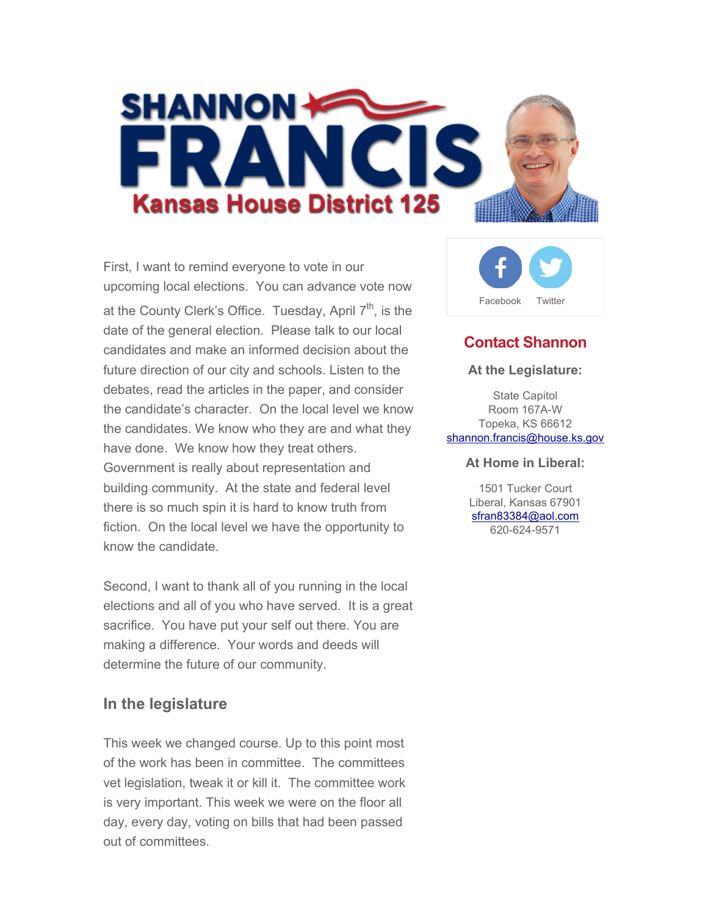

First, I want to remind everyone to vote in our upcoming local elections. You can advance vote now at the County Clerk's Office. Tuesday, April  $7<sup>th</sup>$ , is the date of the general election. Please talk to our local candidates and make an informed decision about the future direction of our city and schools. Listen to the debates, read the articles in the paper, and consider the candidate's character. On the local level we know the candidates. We know who they are and what they have done. We know how they treat others. Government is really about representation and building community. At the state and federal level there is so much spin it is hard to know truth from fiction. On the local level we have the opportunity to know the candidate.

Second, I want to thank all of you running in the local elections and all of you who have served. It is a great sacrifice. You have put your self out there. You are making a difference. Your words and deeds will determine the future of our community.

### **In the legislature**

This week we changed course. Up to this point most of the work has been in committee. The committees vet legislation, tweak it or kill it. The committee work is very important. This week we were on the floor all day, every day, voting on bills that had been passed out of committees.



## **Contact Shannon**

#### **At the Legislature:**

State Capitol Room 167A-W Topeka, KS 66612 shannon.francis@house.ks.gov

#### **At Home in Liberal:**

1501 Tucker Court Liberal, Kansas 67901 sfran83384@aol.com 620-624-9571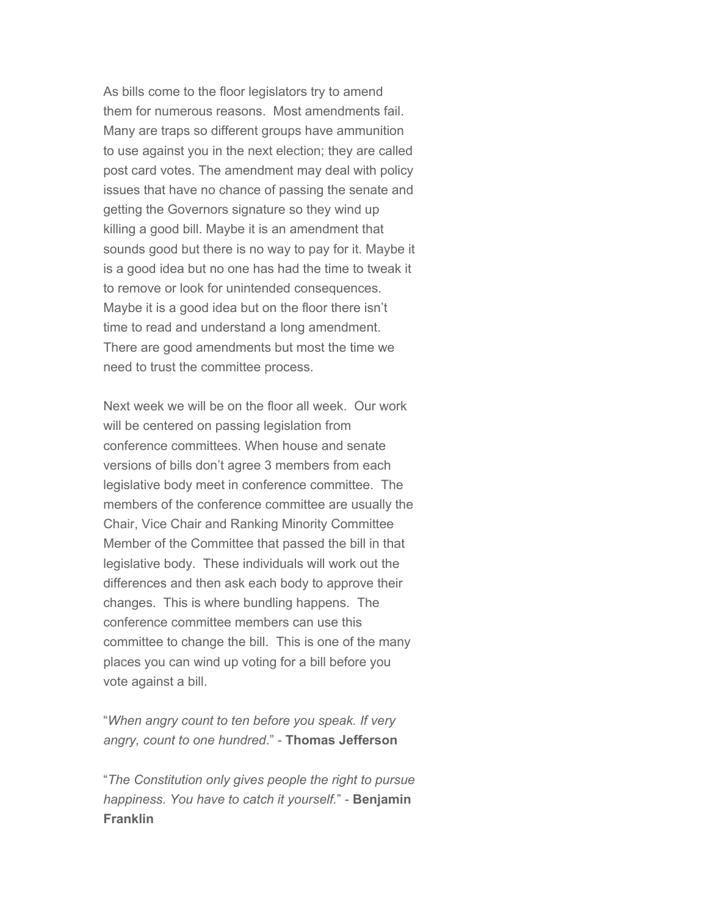As bills come to the floor legislators try to amend them for numerous reasons. Most amendments fail. Many are traps so different groups have ammunition to use against you in the next election; they are called post card votes. The amendment may deal with policy issues that have no chance of passing the senate and getting the Governors signature so they wind up killing a good bill. Maybe it is an amendment that sounds good but there is no way to pay for it. Maybe it is a good idea but no one has had the time to tweak it to remove or look for unintended consequences. Maybe it is a good idea but on the floor there isn't time to read and understand a long amendment. There are good amendments but most the time we need to trust the committee process.

Next week we will be on the floor all week. Our work will be centered on passing legislation from conference committees. When house and senate versions of bills don't agree 3 members from each legislative body meet in conference committee. The members of the conference committee are usually the Chair, Vice Chair and Ranking Minority Committee Member of the Committee that passed the bill in that legislative body. These individuals will work out the differences and then ask each body to approve their changes. This is where bundling happens. The conference committee members can use this committee to change the bill. This is one of the many places you can wind up voting for a bill before you vote against a bill.

"*When angry count to ten before you speak. If very angry, count to one hundred*." - **Thomas Jefferson**

"*The Constitution only gives people the right to pursue happiness. You have to catch it yourself.*" - **Benjamin Franklin**